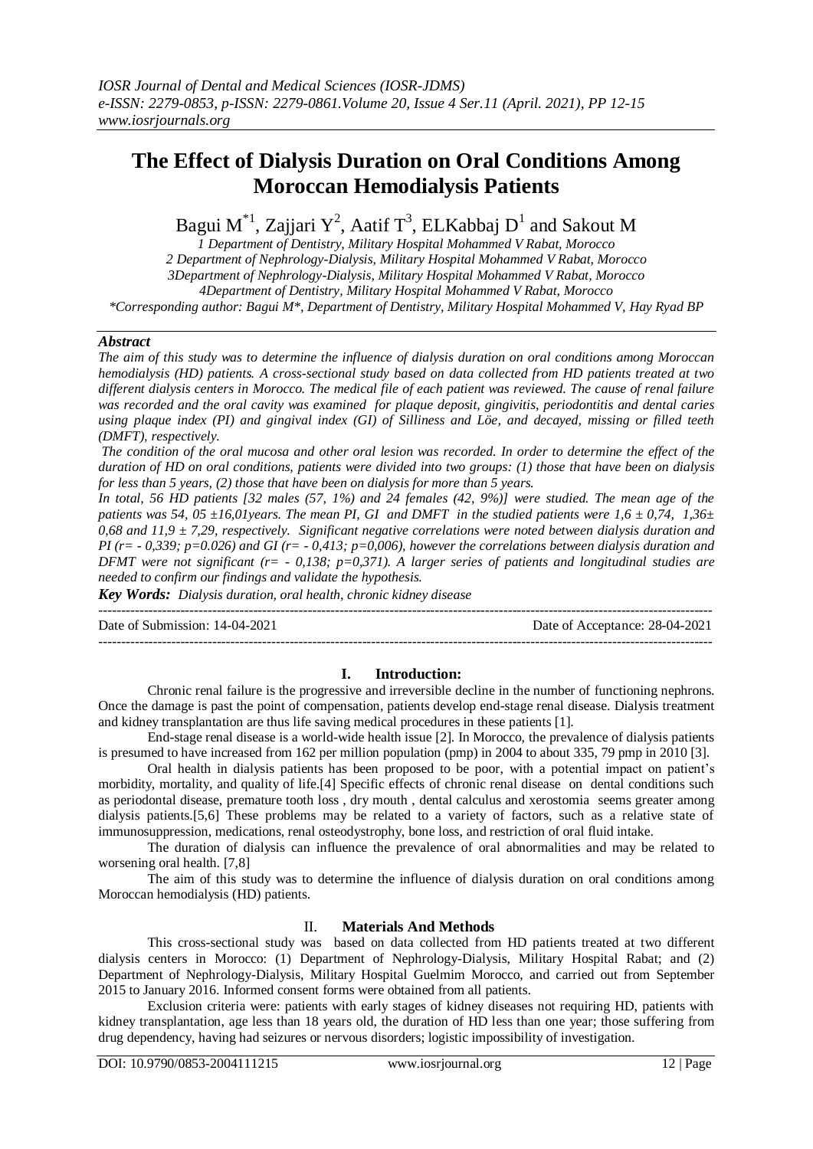# **The Effect of Dialysis Duration on Oral Conditions Among Moroccan Hemodialysis Patients**

Bagui M<sup>\*1</sup>, Zajjari Y<sup>2</sup>, Aatif T<sup>3</sup>, ELKabbaj D<sup>1</sup> and Sakout M

*1 Department of Dentistry, Military Hospital Mohammed V Rabat, Morocco 2 Department of Nephrology-Dialysis, Military Hospital Mohammed V Rabat, Morocco 3Department of Nephrology-Dialysis, Military Hospital Mohammed V Rabat, Morocco 4Department of Dentistry, Military Hospital Mohammed V Rabat, Morocco \*Corresponding author: Bagui M\*, Department of Dentistry, Military Hospital Mohammed V, Hay Ryad BP* 

## *Abstract*

*The aim of this study was to determine the influence of dialysis duration on oral conditions among Moroccan hemodialysis (HD) patients. A cross-sectional study based on data collected from HD patients treated at two different dialysis centers in Morocco. The medical file of each patient was reviewed. The cause of renal failure was recorded and the oral cavity was examined for plaque deposit, gingivitis, periodontitis and dental caries using plaque index (PI) and gingival index (GI) of Silliness and Löe, and decayed, missing or filled teeth (DMFT), respectively.* 

*The condition of the oral mucosa and other oral lesion was recorded. In order to determine the effect of the duration of HD on oral conditions, patients were divided into two groups: (1) those that have been on dialysis for less than 5 years, (2) those that have been on dialysis for more than 5 years.*

*In total, 56 HD patients [32 males (57, 1%) and 24 females (42, 9%)] were studied. The mean age of the patients was 54, 05 ±16,01years. The mean PI, GI and DMFT in the studied patients were 1,6 ± 0,74, 1,36± 0,68 and 11,9 ± 7,29, respectively. Significant negative correlations were noted between dialysis duration and PI (r= - 0,339; p=0.026) and GI (r= - 0,413; p=0,006), however the correlations between dialysis duration and DFMT were not significant (r= - 0,138; p=0,371). A larger series of patients and longitudinal studies are needed to confirm our findings and validate the hypothesis.* 

*Key Words: Dialysis duration, oral health, chronic kidney disease* 

| Date of Submission: 14-04-2021 | Date of Acceptance: 28-04-2021 |
|--------------------------------|--------------------------------|
|                                |                                |

## **I. Introduction:**

Chronic renal failure is the progressive and irreversible decline in the number of functioning nephrons. Once the damage is past the point of compensation, patients develop end-stage renal disease. Dialysis treatment and kidney transplantation are thus life saving medical procedures in these patients [1].

End-stage renal disease is a world-wide health issue [2]. In Morocco, the prevalence of dialysis patients is presumed to have increased from 162 per million population (pmp) in 2004 to about 335, 79 pmp in 2010 [3].

Oral health in dialysis patients has been proposed to be poor, with a potential impact on patient's morbidity, mortality, and quality of life.[4] Specific effects of chronic renal disease on dental conditions such as periodontal disease, premature tooth loss , dry mouth , dental calculus and xerostomia seems greater among dialysis patients.[5,6] These problems may be related to a variety of factors, such as a relative state of immunosuppression, medications, renal osteodystrophy, bone loss, and restriction of oral fluid intake.

The duration of dialysis can influence the prevalence of oral abnormalities and may be related to worsening oral health. [7,8]

The aim of this study was to determine the influence of dialysis duration on oral conditions among Moroccan hemodialysis (HD) patients.

## II. **Materials And Methods**

This cross-sectional study was based on data collected from HD patients treated at two different dialysis centers in Morocco: (1) Department of Nephrology-Dialysis, Military Hospital Rabat; and (2) Department of Nephrology-Dialysis, Military Hospital Guelmim Morocco, and carried out from September 2015 to January 2016. Informed consent forms were obtained from all patients.

Exclusion criteria were: patients with early stages of kidney diseases not requiring HD, patients with kidney transplantation, age less than 18 years old, the duration of HD less than one year; those suffering from drug dependency, having had seizures or nervous disorders; logistic impossibility of investigation.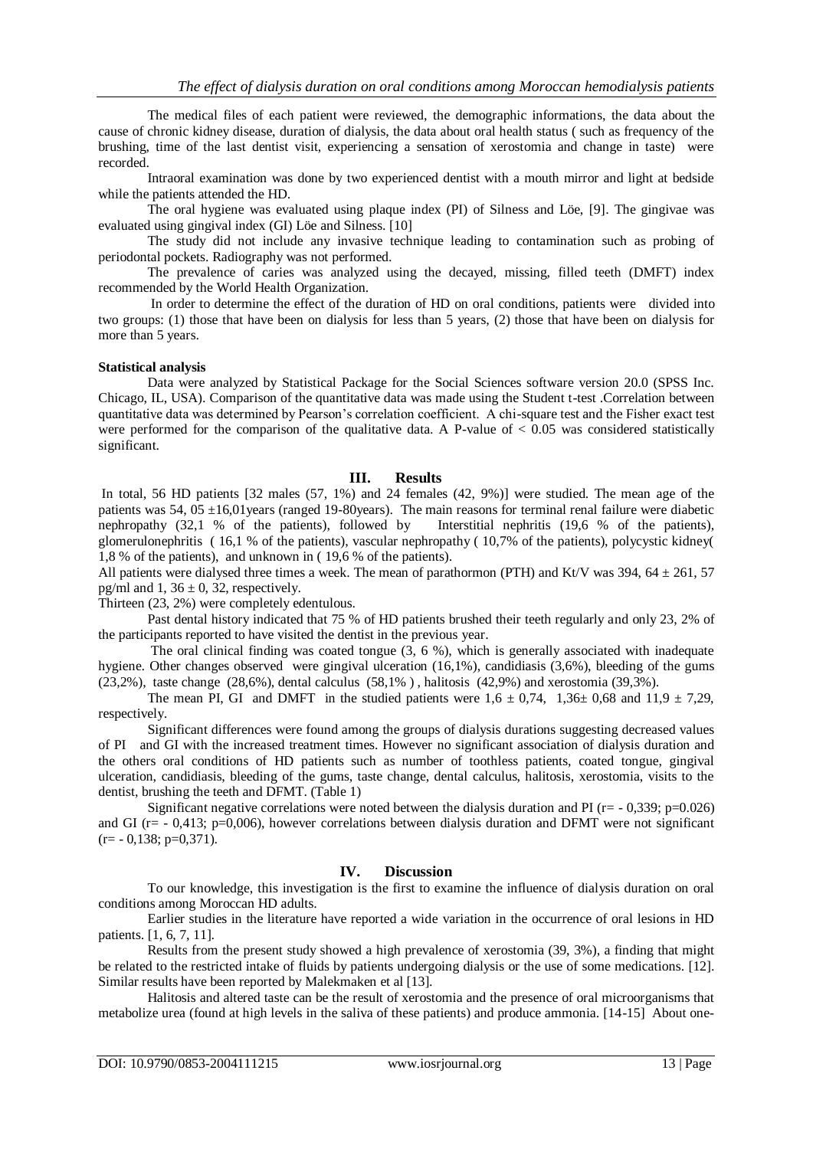The medical files of each patient were reviewed, the demographic informations, the data about the cause of chronic kidney disease, duration of dialysis, the data about oral health status ( such as frequency of the brushing, time of the last dentist visit, experiencing a sensation of xerostomia and change in taste) were recorded.

Intraoral examination was done by two experienced dentist with a mouth mirror and light at bedside while the patients attended the HD.

The oral hygiene was evaluated using plaque index (PI) of Silness and Löe, [9]. The gingivae was evaluated using gingival index (GI) Löe and Silness. [10]

The study did not include any invasive technique leading to contamination such as probing of periodontal pockets. Radiography was not performed.

The prevalence of caries was analyzed using the decayed, missing, filled teeth (DMFT) index recommended by the World Health Organization.

In order to determine the effect of the duration of HD on oral conditions, patients were divided into two groups: (1) those that have been on dialysis for less than 5 years, (2) those that have been on dialysis for more than 5 years.

#### **Statistical analysis**

Data were analyzed by Statistical Package for the Social Sciences software version 20.0 (SPSS Inc. Chicago, IL, USA). Comparison of the quantitative data was made using the Student t-test .Correlation between quantitative data was determined by Pearson's correlation coefficient. A chi-square test and the Fisher exact test were performed for the comparison of the qualitative data. A P-value of  $< 0.05$  was considered statistically significant.

#### **III. Results**

In total, 56 HD patients [32 males (57, 1%) and 24 females (42, 9%)] were studied. The mean age of the patients was 54, 05 ±16,01years (ranged 19-80years). The main reasons for terminal renal failure were diabetic nephropathy (32,1 % of the patients), followed by Interstitial nephritis (19,6 % of the patients), glomerulonephritis ( 16,1 % of the patients), vascular nephropathy ( 10,7% of the patients), polycystic kidney( 1,8 % of the patients), and unknown in ( 19,6 % of the patients).

All patients were dialysed three times a week. The mean of parathormon (PTH) and Kt/V was 394, 64  $\pm$  261, 57 pg/ml and 1,  $36 \pm 0$ , 32, respectively.

Thirteen (23, 2%) were completely edentulous.

Past dental history indicated that 75 % of HD patients brushed their teeth regularly and only 23, 2% of the participants reported to have visited the dentist in the previous year.

The oral clinical finding was coated tongue (3, 6 %), which is generally associated with inadequate hygiene. Other changes observed were gingival ulceration (16,1%), candidiasis (3,6%), bleeding of the gums  $(23,2\%)$ , taste change  $(28,6\%)$ , dental calculus  $(58,1\%)$ , halitosis  $(42,9\%)$  and xerostomia  $(39,3\%)$ .

The mean PI, GI and DMFT in the studied patients were  $1,6 \pm 0,74$ ,  $1,36 \pm 0,68$  and  $11,9 \pm 7,29$ , respectively.

Significant differences were found among the groups of dialysis durations suggesting decreased values of PI and GI with the increased treatment times. However no significant association of dialysis duration and the others oral conditions of HD patients such as number of toothless patients, coated tongue, gingival ulceration, candidiasis, bleeding of the gums, taste change, dental calculus, halitosis, xerostomia, visits to the dentist, brushing the teeth and DFMT. (Table 1)

Significant negative correlations were noted between the dialysis duration and PI ( $r = -0.339$ ; p=0.026) and GI ( $r = -0.413$ ; p=0,006), however correlations between dialysis duration and DFMT were not significant  $(r=-0.138; p=0.371)$ .

### **IV. Discussion**

To our knowledge, this investigation is the first to examine the influence of dialysis duration on oral conditions among Moroccan HD adults.

Earlier studies in the literature have reported a wide variation in the occurrence of oral lesions in HD patients. [1, 6, 7, 11].

Results from the present study showed a high prevalence of xerostomia (39, 3%), a finding that might be related to the restricted intake of fluids by patients undergoing dialysis or the use of some medications. [12]. Similar results have been reported by Malekmaken et al [13].

Halitosis and altered taste can be the result of xerostomia and the presence of oral microorganisms that metabolize urea (found at high levels in the saliva of these patients) and produce ammonia. [14-15] About one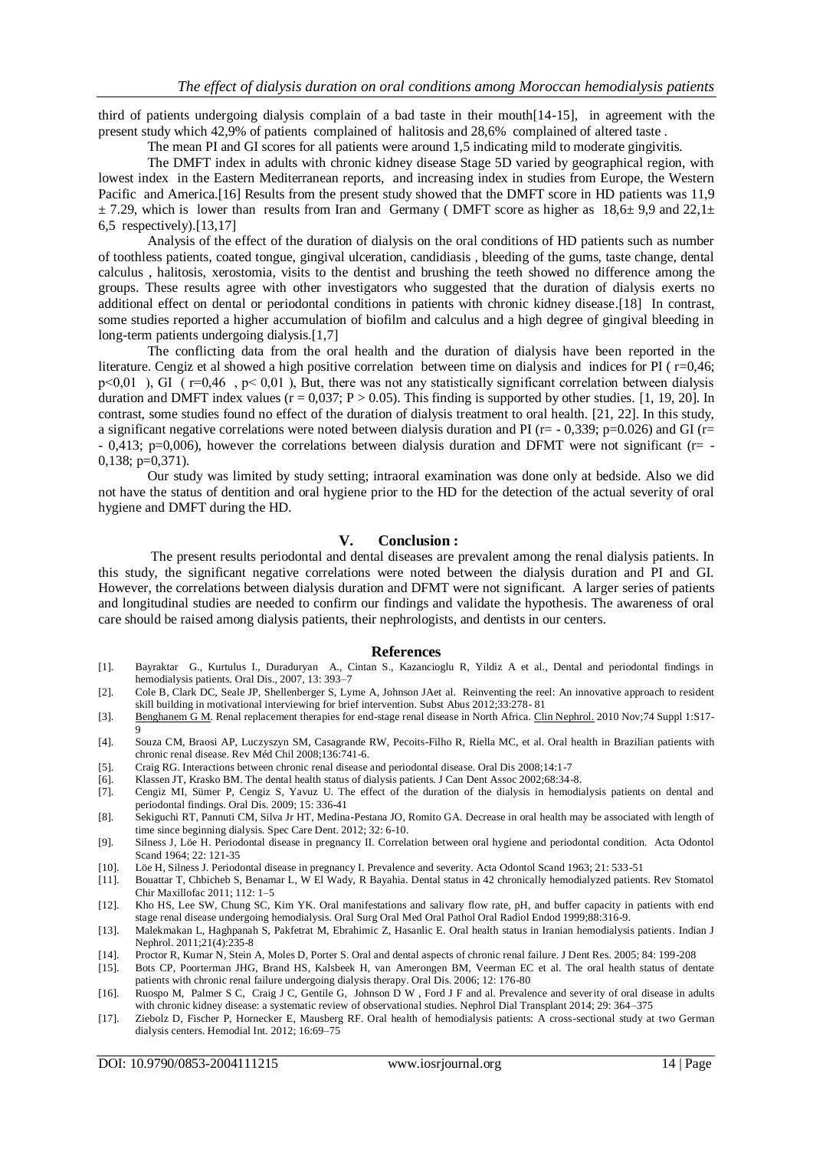third of patients undergoing dialysis complain of a bad taste in their mouth[14-15], in agreement with the present study which 42,9% of patients complained of halitosis and 28,6% complained of altered taste .

The mean PI and GI scores for all patients were around 1,5 indicating mild to moderate gingivitis.

The DMFT index in adults with chronic kidney disease Stage 5D varied by geographical region, with lowest index in the Eastern Mediterranean reports, and increasing index in studies from Europe, the Western Pacific and America.[16] Results from the present study showed that the DMFT score in HD patients was 11,9  $\pm$  7.29, which is lower than results from Iran and Germany (DMFT score as higher as 18,6 $\pm$  9,9 and 22,1 $\pm$ 6,5 respectively).[13,17]

Analysis of the effect of the duration of dialysis on the oral conditions of HD patients such as number of toothless patients, coated tongue, gingival ulceration, candidiasis , bleeding of the gums, taste change, dental calculus , halitosis, xerostomia, visits to the dentist and brushing the teeth showed no difference among the groups. These results agree with other investigators who suggested that the duration of dialysis exerts no additional effect on dental or periodontal conditions in patients with chronic kidney disease.[18] In contrast, some studies reported a higher accumulation of biofilm and calculus and a high degree of gingival bleeding in long-term patients undergoing dialysis.[1,7]

The conflicting data from the oral health and the duration of dialysis have been reported in the literature. Cengiz et al showed a high positive correlation between time on dialysis and indices for PI ( $r=0.46$ ; p˂0,01 ), GI ( r=0,46 , p˂ 0,01 ), But, there was not any statistically significant correlation between dialysis duration and DMFT index values ( $r = 0.037$ ;  $P > 0.05$ ). This finding is supported by other studies. [1, 19, 20]. In contrast, some studies found no effect of the duration of dialysis treatment to oral health. [21, 22]. In this study, a significant negative correlations were noted between dialysis duration and PI ( $r = -0.339$ ; p=0.026) and GI ( $r =$ - 0,413; p=0,006), however the correlations between dialysis duration and DFMT were not significant (r= - 0,138; p=0,371).

Our study was limited by study setting; intraoral examination was done only at bedside. Also we did not have the status of dentition and oral hygiene prior to the HD for the detection of the actual severity of oral hygiene and DMFT during the HD.

#### **V. Conclusion :**

The present results periodontal and dental diseases are prevalent among the renal dialysis patients. In this study, the significant negative correlations were noted between the dialysis duration and PI and GI. However, the correlations between dialysis duration and DFMT were not significant. A larger series of patients and longitudinal studies are needed to confirm our findings and validate the hypothesis. The awareness of oral care should be raised among dialysis patients, their nephrologists, and dentists in our centers.

#### **References**

- [1]. Bayraktar G., Kurtulus I., Duraduryan A., Cintan S., Kazancioglu R, Yildiz A et al., Dental and periodontal findings in hemodialysis patients. Oral Dis., 2007, 13: 393–7
- [2]. Cole B, Clark DC, Seale JP, Shellenberger S, Lyme A, Johnson JAet al. Reinventing the reel: An innovative approach to resident skill building in motivational interviewing for brief intervention. Subst Abus 2012;33:278- 81
- [3]. [Benghanem G M.](http://www.ncbi.nlm.nih.gov/pubmed/?term=Benghanem%20Gharbi%20M%5BAuthor%5D&cauthor=true&cauthor_uid=20979957) Renal replacement therapies for end-stage renal disease in North Africa[. Clin Nephrol.](http://www.ncbi.nlm.nih.gov/pubmed/20979957) 2010 Nov;74 Suppl 1:S17-9
- [4]. Souza CM, Braosi AP, Luczyszyn SM, Casagrande RW, Pecoits-Filho R, Riella MC, et al. Oral health in Brazilian patients with chronic renal disease. Rev Méd Chil 2008;136:741-6.
- [5]. Craig RG. Interactions between chronic renal disease and periodontal disease. Oral Dis 2008;14:1-7
- [6]. Klassen JT, Krasko BM. The dental health status of dialysis patients. J Can Dent Assoc 2002;68:34-8.
- [7]. Cengiz MI, Sümer P, Cengiz S, Yavuz U. The effect of the duration of the dialysis in hemodialysis patients on dental and periodontal findings. Oral Dis. 2009; 15: 336-41
- [8]. Sekiguchi RT, Pannuti CM, Silva Jr HT, Medina-Pestana JO, Romito GA. Decrease in oral health may be associated with length of time since beginning dialysis. Spec Care Dent. 2012; 32: 6-10.
- [9]. Silness J, Löe H. Periodontal disease in pregnancy II. Correlation between oral hygiene and periodontal condition. Acta Odontol Scand 1964; 22: 121-35
- [10]. Löe H, Silness J. Periodontal disease in pregnancy I. Prevalence and severity. Acta Odontol Scand 1963; 21: 533-51
- [11]. Bouattar T, Chbicheb S, Benamar L, W El Wady, R Bayahia. Dental status in 42 chronically hemodialyzed patients. Rev Stomatol Chir Maxillofac 2011; 112: 1–5
- [12]. Kho HS, Lee SW, Chung SC, Kim YK. Oral manifestations and salivary flow rate, pH, and buffer capacity in patients with end stage renal disease undergoing hemodialysis. Oral Surg Oral Med Oral Pathol Oral Radiol Endod 1999;88:316-9.
- [13]. Malekmakan L, Haghpanah S, Pakfetrat M, Ebrahimic Z, Hasanlic E. Oral health status in Iranian hemodialysis patients. [Indian J](http://www.ncbi.nlm.nih.gov/pubmed/22022082)  [Nephrol.](http://www.ncbi.nlm.nih.gov/pubmed/22022082) 2011;21(4):235-8
- [14]. Proctor R, Kumar N, Stein A, Moles D, Porter S. Oral and dental aspects of chronic renal failure. J Dent Res. 2005; 84: 199-208
- [15]. Bots CP, Poorterman JHG, Brand HS, Kalsbeek H, van Amerongen BM, Veerman EC et al. The oral health status of dentate patients with chronic renal failure undergoing dialysis therapy. Oral Dis. 2006; 12: 176-80
- [16]. Ruospo M, Palmer S C, Craig J C, Gentile G, Johnson D W , Ford J F and al. Prevalence and severity of oral disease in adults with chronic kidney disease: a systematic review of observational studies. Nephrol Dial Transplant 2014; 29: 364–375
- [17]. Ziebolz D, Fischer P, Hornecker E, Mausberg RF. Oral health of hemodialysis patients: A cross-sectional study at two German dialysis centers. Hemodial Int. 2012; 16:69–75